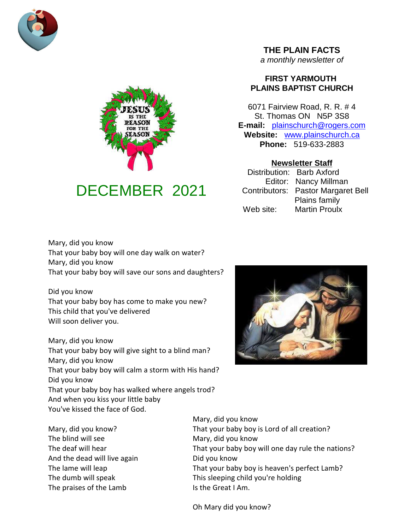



# DECEMBER 2021

# **THE PLAIN FACTS**

*a monthly newsletter of*

# **FIRST YARMOUTH PLAINS BAPTIST CHURCH**

6071 Fairview Road, R. R. # 4 St. Thomas ON N5P 3S8 **E-mail:** plainschurch@rogers.com **Website:** www.plainschurch.ca **Phone:** 519-633-2883

# **Newsletter Staff**

Distribution: Barb Axford Editor: Nancy Millman Contributors: Pastor Margaret Bell Plains family Web site: Martin Proulx

Mary, did you know That your baby boy will one day walk on water? Mary, did you know That your baby boy will save our sons and daughters?

Did you know That your baby boy has come to make you new? This child that you've delivered Will soon deliver you.

Mary, did you know That your baby boy will give sight to a blind man? Mary, did you know That your baby boy will calm a storm with His hand? Did you know That your baby boy has walked where angels trod? And when you kiss your little baby You've kissed the face of God.



The blind will see Mary, did you know And the dead will live again Did you know The praises of the Lamb Is the Great I Am.

Mary, did you know Mary, did you know? That your baby boy is Lord of all creation? The deaf will hear That your baby boy will one day rule the nations? The lame will leap That your baby boy is heaven's perfect Lamb? The dumb will speak This sleeping child you're holding

Oh Mary did you know?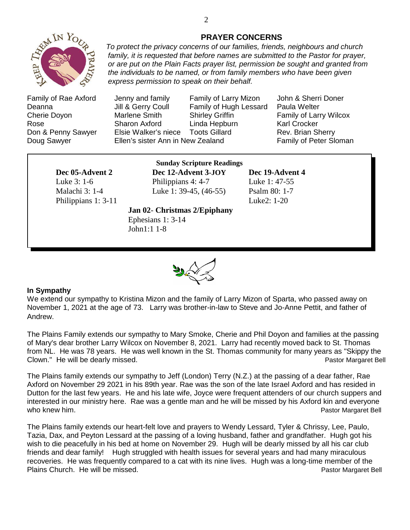

### **PRAYER CONCERNS**

*To protect the privacy concerns of our families, friends, neighbours and church family, it is requested that before names are submitted to the Pastor for prayer, or are put on the Plain Facts prayer list, permission be sought and granted from the individuals to be named, or from family members who have been given express permission to speak on their behalf.*

Family of Rae Axford Jenny and family Family of Larry Mizon John & Sherri Doner Deanna **Jill & Gerry Coull** Family of Hugh Lessard Paula Welter Cherie Doyon Marlene Smith Shirley Griffin Family of Larry Wilcox Rose Sharon Axford Linda Hepburn Karl Crocker Don & Penny Sawyer Elsie Walker's niece Toots Gillard **Rev. Brian Sherry** Doug Sawyer **Ellen's sister Ann in New Zealand** Family of Peter Sloman

Philippians 1: 3-11 Luke2: 1-20

**Sunday Scripture Readings Dec 05-Advent 2 Dec 12-Advent 3-JOY Dec 19-Advent 4** Luke 3: 1-6 Philippians 4: 4-7 Luke 1: 47-55 Malachi 3: 1-4 Luke 1: 39-45, (46-55) Psalm 80: 1-7

Ephesians 1: 3-14 John1:1 1-8

**Jan 02**- **Christmas 2/Epiphany**



#### **In Sympathy**

We extend our sympathy to Kristina Mizon and the family of Larry Mizon of Sparta, who passed away on November 1, 2021 at the age of 73. Larry was brother-in-law to Steve and Jo-Anne Pettit, and father of Andrew.

The Plains Family extends our sympathy to Mary Smoke, Cherie and Phil Doyon and families at the passing of Mary's dear brother Larry Wilcox on November 8, 2021. Larry had recently moved back to St. Thomas from NL. He was 78 years. He was well known in the St. Thomas community for many years as "Skippy the Clown." He will be dearly missed. The state of the state of the state of the state of the Pastor Margaret Bell

The Plains family extends our sympathy to Jeff (London) Terry (N.Z.) at the passing of a dear father, Rae Axford on November 29 2021 in his 89th year. Rae was the son of the late Israel Axford and has resided in Dutton for the last few years. He and his late wife, Joyce were frequent attenders of our church suppers and interested in our ministry here. Rae was a gentle man and he will be missed by his Axford kin and everyone who knew him. **Pastor Margaret Bell** who knew him.

The Plains family extends our heart-felt love and prayers to Wendy Lessard, Tyler & Chrissy, Lee, Paulo, Tazia, Dax, and Peyton Lessard at the passing of a loving husband, father and grandfather. Hugh got his wish to die peacefully in his bed at home on November 29. Hugh will be dearly missed by all his car club friends and dear family! Hugh struggled with health issues for several years and had many miraculous recoveries. He was frequently compared to a cat with its nine lives. Hugh was a long-time member of the Plains Church. He will be missed. **Plains Church.** He will be missed.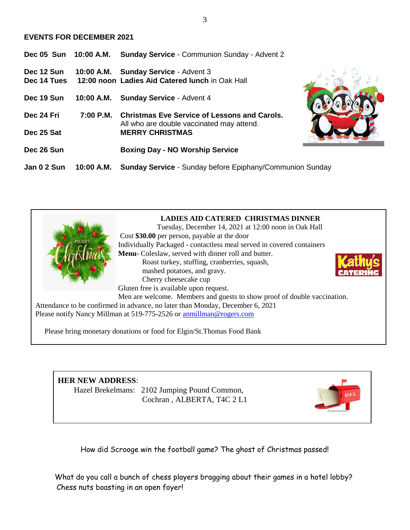#### **EVENTS FOR DECEMBER 2021**

|                           |             | Dec 05 Sun 10:00 A.M. Sunday Service - Communion Sunday - Advent 2                               |
|---------------------------|-------------|--------------------------------------------------------------------------------------------------|
| Dec 12 Sun<br>Dec 14 Tues |             | 10:00 A.M. Sunday Service - Advent 3<br>12:00 noon Ladies Aid Catered lunch in Oak Hall          |
| Dec 19 Sun                | 10:00 A.M.  | <b>Sunday Service - Advent 4</b>                                                                 |
| Dec 24 Fri                | $7:00$ P.M. | <b>Christmas Eve Service of Lessons and Carols.</b><br>All who are double vaccinated may attend. |
| Dec 25 Sat                |             | <b>MERRY CHRISTMAS</b>                                                                           |
| Dec 26 Sun                |             | <b>Boxing Day - NO Worship Service</b>                                                           |
| Jan 0 2 Sun               | 10:00 A.M.  | <b>Sunday Service - Sunday before Epiphany/Communion Sunday</b>                                  |



# **HER NEW ADDRESS**:

Hazel Brekelmans: 2102 Jumping Pound Common, Cochran , ALBERTA, T4C 2 L1

How did Scrooge win the football game? The ghost of Christmas passed!

What do you call a bunch of chess players bragging about their games in a hotel lobby? Chess nuts boasting in an open foyer!

3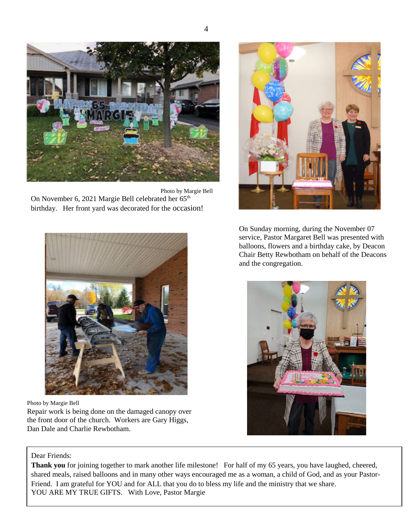

Photo by Margie Bell On November 6, 2021 Margie Bell celebrated her 65<sup>th</sup> birthday. Her front yard was decorated for the occasion!





Photo by Margie Bell

Repair work is being done on the damaged canopy over the front door of the church. Workers are Gary Higgs, Dan Dale and Charlie Rewbotham.

On Sunday morning, during the November 07 service, Pastor Margaret Bell was presented with balloons, flowers and a birthday cake, by Deacon Chair Betty Rewbotham on behalf of the Deacons and the congregation.



#### Dear Friends:

**Thank you** for joining together to mark another life milestone! For half of my 65 years, you have laughed, cheered, shared meals, raised balloons and in many other ways encouraged me as a woman, a child of God, and as your Pastor-Friend. I am grateful for YOU and for ALL that you do to bless my life and the ministry that we share. YOU ARE MY TRUE GIFTS. With Love, Pastor Margie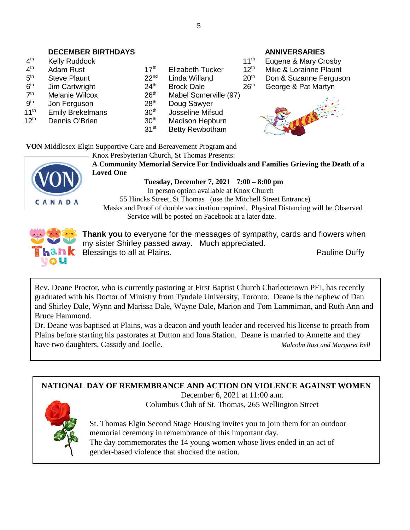# **DECEMBER BIRTHDAYS** ANNIVERSARIES

| 4 <sup>th</sup>  | Kelly Ruddock           |                  |                         |
|------------------|-------------------------|------------------|-------------------------|
| 4 <sup>th</sup>  | Adam Rust               | 17 <sup>th</sup> | <b>Elizabeth Tucker</b> |
| 5 <sup>th</sup>  | <b>Steve Plaunt</b>     | 22 <sup>nd</sup> | Linda Willand           |
| 6 <sup>th</sup>  | Jim Cartwright          | 24 <sup>th</sup> | <b>Brock Dale</b>       |
| 7 <sup>th</sup>  | Melanie Wilcox          | 26 <sup>th</sup> | <b>Mabel Somerville</b> |
| gth              | Jon Ferguson            | 28 <sup>th</sup> | Doug Sawyer             |
| 11 <sup>th</sup> | <b>Emily Brekelmans</b> | 30 <sup>th</sup> | Josseline Mifsud        |
| $12^{th}$        | Dennis O'Brien          | 30 <sup>th</sup> | <b>Madison Hepburn</b>  |
|                  |                         | 31 <sup>st</sup> | <b>Retty Rewhotham</b>  |

|      | Kelly Ruddock           |                  |                         | T 1 ° 1          | Eugene & Mary Crospy   |
|------|-------------------------|------------------|-------------------------|------------------|------------------------|
| th   | Adam Rust               | 17 <sup>th</sup> | <b>Elizabeth Tucker</b> | 12 <sup>th</sup> | Mike & Lorainne Plaunt |
| th   | <b>Steve Plaunt</b>     | 22 <sup>nd</sup> | Linda Willand           | 20 <sup>th</sup> | Don & Suzanne Fergus   |
| th   | Jim Cartwright          | 24 <sup>th</sup> | <b>Brock Dale</b>       | 26 <sup>th</sup> | George & Pat Martyn    |
| th   | Melanie Wilcox          | 26 <sup>th</sup> | Mabel Somerville (97)   |                  |                        |
| th   | Jon Ferguson            | 28 <sup>th</sup> | Doug Sawyer             |                  |                        |
| ı th | <b>Emily Brekelmans</b> | 30 <sup>th</sup> | Josseline Mifsud        |                  | $\bullet$              |
| ,th  | Dennis O'Brien          | 30 <sup>th</sup> | Madison Hepburn         |                  |                        |
|      |                         | 31 <sup>st</sup> | Betty Rewbotham         |                  |                        |
|      |                         |                  |                         |                  |                        |

11<sup>th</sup> Eugene & Mary Crosby  $22<sup>nd</sup>$  Linda Willand  $20<sup>th</sup>$  Don & Suzanne Ferguson



**VON** Middlesex-Elgin Supportive Care and Bereavement Program and Knox Presbyterian Church, St Thomas Presents:



**A Community Memorial Service For Individuals and Families Grieving the Death of a Loved One**

**Tuesday, December 7, 2021 7:00 – 8:00 pm** In person option available at Knox Church 55 Hincks Street, St Thomas (use the Mitchell Street Entrance) Masks and Proof of double vaccination required. Physical Distancing will be Observed Service will be posted on Facebook at a later date.



**Thank you** to everyone for the messages of sympathy, cards and flowers when my sister Shirley passed away. Much appreciated. Blessings to all at Plains. **Pauline Duffy Pauline Duffy** 

Rev. Deane Proctor, who is currently pastoring at First Baptist Church Charlottetown PEI, has recently graduated with his Doctor of Ministry from Tyndale University, Toronto. Deane is the nephew of Dan and Shirley Dale, Wynn and Marissa Dale, Wayne Dale, Marion and Tom Lammiman, and Ruth Ann and Bruce Hammond.

Dr. Deane was baptised at Plains, was a deacon and youth leader and received his license to preach from Plains before starting his pastorates at Dutton and Iona Station. Deane is married to Annette and they have two daughters, Cassidy and Joelle. *Malcolm Rust and Margaret Bell*

**NATIONAL DAY OF REMEMBRANCE AND ACTION ON VIOLENCE AGAINST WOMEN**

December 6, 2021 at 11:00 a.m. Columbus Club of St. Thomas, 265 Wellington Street



St. Thomas Elgin Second Stage Housing invites you to join them for an outdoor memorial ceremony in remembrance of this important day. The day commemorates the 14 young women whose lives ended in an act of gender-based violence that shocked the nation.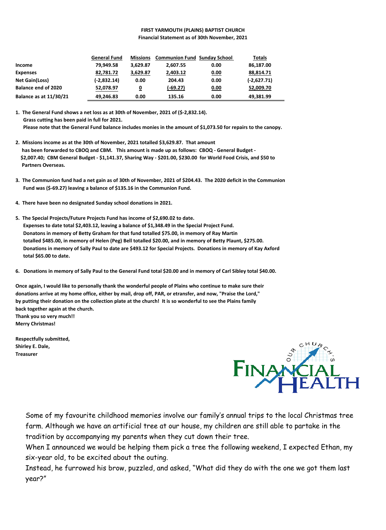#### **FIRST YARMOUTH (PLAINS) BAPTIST CHURCH Financial Statement as of 30th November, 2021**

|                               | <b>General Fund</b> | <b>Missions</b>         | <b>Communion Fund Sunday School</b> |      | Totals        |
|-------------------------------|---------------------|-------------------------|-------------------------------------|------|---------------|
| Income                        | 79.949.58           | 3.629.87                | 2.607.55                            | 0.00 | 86,187.00     |
| <b>Expenses</b>               | 82,781.72           | 3,629.87                | 2,403.12                            | 0.00 | 88,814.71     |
| <b>Net Gain(Loss)</b>         | (-2,832.14)         | 0.00                    | 204.43                              | 0.00 | $(-2,627.71)$ |
| <b>Balance end of 2020</b>    | 52,078.97           | $\overline{\mathbf{0}}$ | $(-69.27)$                          | 0.00 | 52,009.70     |
| <b>Balance as at 11/30/21</b> | 49,246.83           | 0.00                    | 135.16                              | 0.00 | 49,381.99     |

**1. The General Fund shows a net loss as at 30th of November, 2021 of (\$-2,832.14). Grass cutting has been paid in full for 2021. Please note that the General Fund balance includes monies in the amount of \$1,073.50 for repairs to the canopy.**

- **2. Missions income as at the 30th of November, 2021 totalled \$3,629.87. That amount has been forwarded to CBOQ and CBM. This amount is made up as follows: CBOQ - General Budget - \$2,007.40; CBM General Budget - \$1,141.37, Sharing Way - \$201.00, \$230.00 for World Food Crisis, and \$50 to Partners Overseas.**
- **3. The Communion fund had a net gain as of 30th of November, 2021 of \$204.43. The 2020 deficit in the Communion Fund was (\$-69.27) leaving a balance of \$135.16 in the Communion Fund.**
- **4. There have been no designated Sunday school donations in 2021.**
- **5. The Special Projects/Future Projects Fund has income of \$2,690.02 to date. Expenses to date total \$2,403.12, leaving a balance of \$1,348.49 in the Special Project Fund. Donatons in memory of Betty Graham for that fund totalled \$75.00, in memory of Ray Martin totalled \$485.00, in memory of Helen (Peg) Bell totalled \$20.00, and in memory of Betty Plaunt, \$275.00. Donations in memory of Sally Paul to date are \$493.12 for Special Projects. Donations in memory of Kay Axford total \$65.00 to date.**
- **6. Donations in memory of Sally Paul to the General Fund total \$20.00 and in memory of Carl Sibley total \$40.00.**

**Once again, I would like to personally thank the wonderful people of Plains who continue to make sure their donations arrive at my home office, either by mail, drop off, PAR, or etransfer, and now, "Praise the Lord," by putting their donation on the collection plate at the church! It is so wonderful to see the Plains family back together again at the church. Thank you so very much!! Merry Christmas!**

**Respectfully submitted, Shirley E. Dale, Treasurer**



Some of my favourite childhood memories involve our family's annual trips to the local Christmas tree farm. Although we have an artificial tree at our house, my children are still able to partake in the tradition by accompanying my parents when they cut down their tree.

When I announced we would be helping them pick a tree the following weekend, I expected Ethan, my six-year old, to be excited about the outing.

Instead, he furrowed his brow, puzzled, and asked, "What did they do with the one we got them last year?"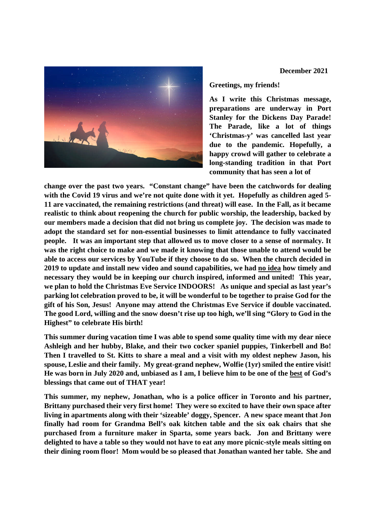

#### **Greetings, my friends!**

**As I write this Christmas message, preparations are underway in Port Stanley for the Dickens Day Parade! The Parade, like a lot of things 'Christmas-y' was cancelled last year due to the pandemic. Hopefully, a happy crowd will gather to celebrate a long-standing tradition in that Port community that has seen a lot of**

**change over the past two years. "Constant change" have been the catchwords for dealing with the Covid 19 virus and we're not quite done with it yet. Hopefully as children aged 5- 11 are vaccinated, the remaining restrictions (and threat) will ease. In the Fall, as it became realistic to think about reopening the church for public worship, the leadership, backed by our members made a decision that did not bring us complete joy. The decision was made to adopt the standard set for non-essential businesses to limit attendance to fully vaccinated people. It was an important step that allowed us to move closer to a sense of normalcy. It was the right choice to make and we made it knowing that those unable to attend would be able to access our services by YouTube if they choose to do so. When the church decided in 2019 to update and install new video and sound capabilities, we had no idea how timely and necessary they would be in keeping our church inspired, informed and united! This year, we plan to hold the Christmas Eve Service INDOORS! As unique and special as last year's parking lot celebration proved to be, it will be wonderful to be together to praise God for the gift of his Son, Jesus! Anyone may attend the Christmas Eve Service if double vaccinated. The good Lord, willing and the snow doesn't rise up too high, we'll sing "Glory to God in the Highest" to celebrate His birth!**

**This summer during vacation time I was able to spend some quality time with my dear niece Ashleigh and her hubby, Blake, and their two cocker spaniel puppies, Tinkerbell and Bo! Then I travelled to St. Kitts to share a meal and a visit with my oldest nephew Jason, his spouse, Leslie and their family. My great-grand nephew, Wolfie (1yr) smiled the entire visit! He was born in July 2020 and, unbiased as I am, I believe him to be one of the best of God's blessings that came out of THAT year!**

**This summer, my nephew, Jonathan, who is a police officer in Toronto and his partner, Brittany purchased their very first home! They were so excited to have their own space after living in apartments along with their 'sizeable' doggy, Spencer. A new space meant that Jon finally had room for Grandma Bell's oak kitchen table and the six oak chairs that she purchased from a furniture maker in Sparta, some years back. Jon and Brittany were delighted to have a table so they would not have to eat any more picnic-style meals sitting on their dining room floor! Mom would be so pleased that Jonathan wanted her table. She and**